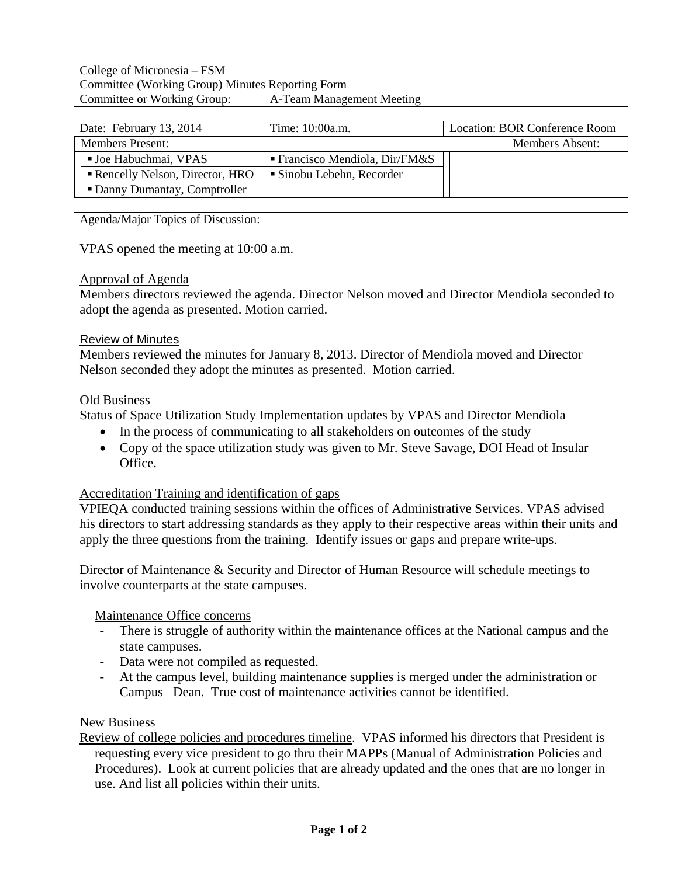### College of Micronesia – FSM Committee (Working Group) Minutes Reporting Form Committee or Working Group: A-Team Management Meeting

| Date: February 13, 2014        | Time: 10:00a.m.                             | Location: BOR Conference Room |                        |
|--------------------------------|---------------------------------------------|-------------------------------|------------------------|
| <b>Members Present:</b>        |                                             |                               | <b>Members Absent:</b> |
| <b>Joe Habuchmai, VPAS</b>     | $\blacksquare$ Francisco Mendiola, Dir/FM&S |                               |                        |
| Rencelly Nelson, Director, HRO | ■ Sinobu Lebehn, Recorder                   |                               |                        |
| • Danny Dumantay, Comptroller  |                                             |                               |                        |

Agenda/Major Topics of Discussion:

VPAS opened the meeting at 10:00 a.m.

### Approval of Agenda

Members directors reviewed the agenda. Director Nelson moved and Director Mendiola seconded to adopt the agenda as presented. Motion carried.

### Review of Minutes

Members reviewed the minutes for January 8, 2013. Director of Mendiola moved and Director Nelson seconded they adopt the minutes as presented. Motion carried.

### Old Business

Status of Space Utilization Study Implementation updates by VPAS and Director Mendiola

- In the process of communicating to all stakeholders on outcomes of the study
- Copy of the space utilization study was given to Mr. Steve Savage, DOI Head of Insular Office.

## Accreditation Training and identification of gaps

VPIEQA conducted training sessions within the offices of Administrative Services. VPAS advised his directors to start addressing standards as they apply to their respective areas within their units and apply the three questions from the training. Identify issues or gaps and prepare write-ups.

Director of Maintenance & Security and Director of Human Resource will schedule meetings to involve counterparts at the state campuses.

Maintenance Office concerns

- There is struggle of authority within the maintenance offices at the National campus and the state campuses.
- Data were not compiled as requested.
- At the campus level, building maintenance supplies is merged under the administration or Campus Dean. True cost of maintenance activities cannot be identified.

## New Business

Review of college policies and procedures timeline. VPAS informed his directors that President is requesting every vice president to go thru their MAPPs (Manual of Administration Policies and Procedures). Look at current policies that are already updated and the ones that are no longer in use. And list all policies within their units.